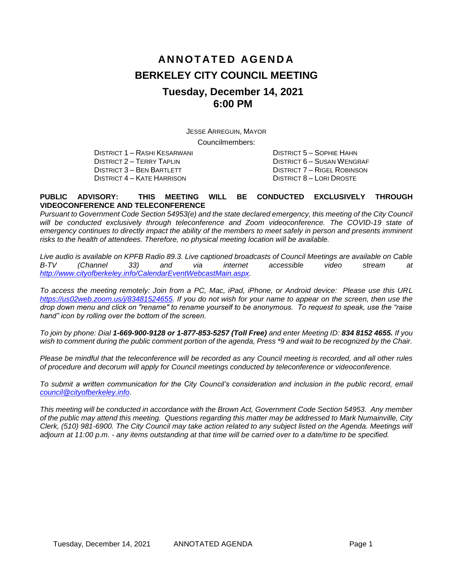# **AN N O T AT E D AG E N D A BERKELEY CITY COUNCIL MEETING Tuesday, December 14, 2021 6:00 PM**

JESSE ARREGUIN, MAYOR Councilmembers:

DISTRICT 1 – RASHI KESARWANI DISTRICT 5 – SOPHIE HAHN DISTRICT 4 – KATE HARRISON DISTRICT 8 – LORI DROSTE

DISTRICT 2 – TERRY TAPLIN DISTRICT 6 – SUSAN WENGRAF DISTRICT 3 – BEN BARTLETT DISTRICT 7 – RIGEL ROBINSON

#### **PUBLIC ADVISORY: THIS MEETING WILL BE CONDUCTED EXCLUSIVELY THROUGH VIDEOCONFERENCE AND TELECONFERENCE**

*Pursuant to Government Code Section 54953(e) and the state declared emergency, this meeting of the City Council will be conducted exclusively through teleconference and Zoom videoconference. The COVID-19 state of*  emergency continues to directly impact the ability of the members to meet safely in person and presents imminent *risks to the health of attendees. Therefore, no physical meeting location will be available.* 

*Live audio is available on KPFB Radio 89.3. Live captioned broadcasts of Council Meetings are available on Cable B-TV (Channel 33) and via internet accessible video stream at [http://www.cityofberkeley.info/CalendarEventWebcastMain.aspx.](http://www.cityofberkeley.info/CalendarEventWebcastMain.aspx)*

*To access the meeting remotely: Join from a PC, Mac, iPad, iPhone, or Android device: Please use this URL [https://us02web.zoom.us/j/83481524655.](https://us02web.zoom.us/j/83481524655) If you do not wish for your name to appear on the screen, then use the drop down menu and click on "rename" to rename yourself to be anonymous. To request to speak, use the "raise hand" icon by rolling over the bottom of the screen.* 

*To join by phone: Dial 1-669-900-9128 or 1-877-853-5257 (Toll Free) and enter Meeting ID: 834 8152 4655. If you*  wish to comment during the public comment portion of the agenda, Press \*9 and wait to be recognized by the Chair.

*Please be mindful that the teleconference will be recorded as any Council meeting is recorded, and all other rules of procedure and decorum will apply for Council meetings conducted by teleconference or videoconference.*

*To submit a written communication for the City Council's consideration and inclusion in the public record, email [council@cityofberkeley.info.](mailto:council@cityofberkeley.info)*

*This meeting will be conducted in accordance with the Brown Act, Government Code Section 54953. Any member of the public may attend this meeting. Questions regarding this matter may be addressed to Mark Numainville, City Clerk, (510) 981-6900. The City Council may take action related to any subject listed on the Agenda. Meetings will adjourn at 11:00 p.m. - any items outstanding at that time will be carried over to a date/time to be specified.*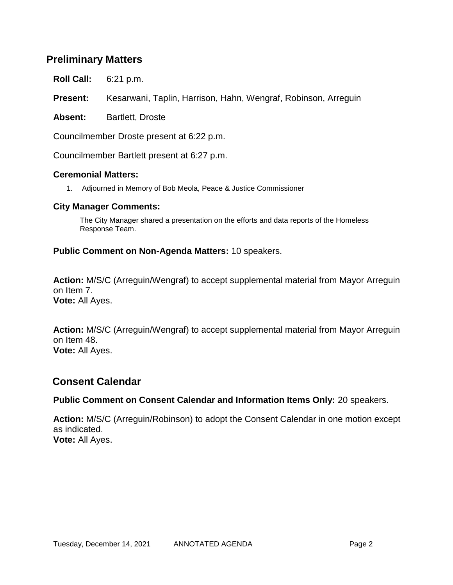## **Preliminary Matters**

**Roll Call:** 6:21 p.m.

**Present:** Kesarwani, Taplin, Harrison, Hahn, Wengraf, Robinson, Arreguin

Absent: Bartlett, Droste

Councilmember Droste present at 6:22 p.m.

Councilmember Bartlett present at 6:27 p.m.

### **Ceremonial Matters:**

1. Adjourned in Memory of Bob Meola, Peace & Justice Commissioner

#### **City Manager Comments:**

The City Manager shared a presentation on the efforts and data reports of the Homeless Response Team.

### **Public Comment on Non-Agenda Matters:** 10 speakers.

**Action:** M/S/C (Arreguin/Wengraf) to accept supplemental material from Mayor Arreguin on Item 7. **Vote:** All Ayes.

**Action:** M/S/C (Arreguin/Wengraf) to accept supplemental material from Mayor Arreguin on Item 48. **Vote:** All Ayes.

## **Consent Calendar**

### **Public Comment on Consent Calendar and Information Items Only:** 20 speakers.

**Action:** M/S/C (Arreguin/Robinson) to adopt the Consent Calendar in one motion except as indicated. **Vote:** All Ayes.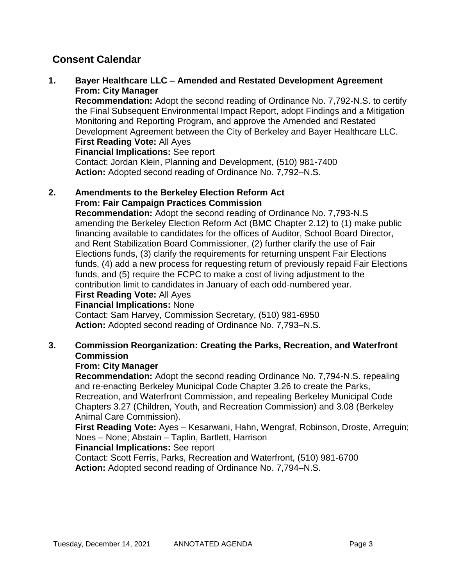### **1. Bayer Healthcare LLC – Amended and Restated Development Agreement From: City Manager**

**Recommendation:** Adopt the second reading of Ordinance No. 7,792-N.S. to certify the Final Subsequent Environmental Impact Report, adopt Findings and a Mitigation Monitoring and Reporting Program, and approve the Amended and Restated Development Agreement between the City of Berkeley and Bayer Healthcare LLC. **First Reading Vote:** All Ayes

**Financial Implications:** See report

Contact: Jordan Klein, Planning and Development, (510) 981-7400 **Action:** Adopted second reading of Ordinance No. 7,792–N.S.

#### **2. Amendments to the Berkeley Election Reform Act From: Fair Campaign Practices Commission**

**Recommendation:** Adopt the second reading of Ordinance No. 7,793-N.S amending the Berkeley Election Reform Act (BMC Chapter 2.12) to (1) make public financing available to candidates for the offices of Auditor, School Board Director, and Rent Stabilization Board Commissioner, (2) further clarify the use of Fair Elections funds, (3) clarify the requirements for returning unspent Fair Elections funds, (4) add a new process for requesting return of previously repaid Fair Elections funds, and (5) require the FCPC to make a cost of living adjustment to the contribution limit to candidates in January of each odd-numbered year. **First Reading Vote:** All Ayes

## **Financial Implications:** None

Contact: Sam Harvey, Commission Secretary, (510) 981-6950 **Action:** Adopted second reading of Ordinance No. 7,793–N.S.

## **3. Commission Reorganization: Creating the Parks, Recreation, and Waterfront Commission**

### **From: City Manager**

**Recommendation:** Adopt the second reading Ordinance No. 7,794-N.S. repealing and re-enacting Berkeley Municipal Code Chapter 3.26 to create the Parks, Recreation, and Waterfront Commission, and repealing Berkeley Municipal Code Chapters 3.27 (Children, Youth, and Recreation Commission) and 3.08 (Berkeley Animal Care Commission).

**First Reading Vote:** Ayes – Kesarwani, Hahn, Wengraf, Robinson, Droste, Arreguin; Noes – None; Abstain – Taplin, Bartlett, Harrison

### **Financial Implications:** See report

Contact: Scott Ferris, Parks, Recreation and Waterfront, (510) 981-6700 **Action:** Adopted second reading of Ordinance No. 7,794–N.S.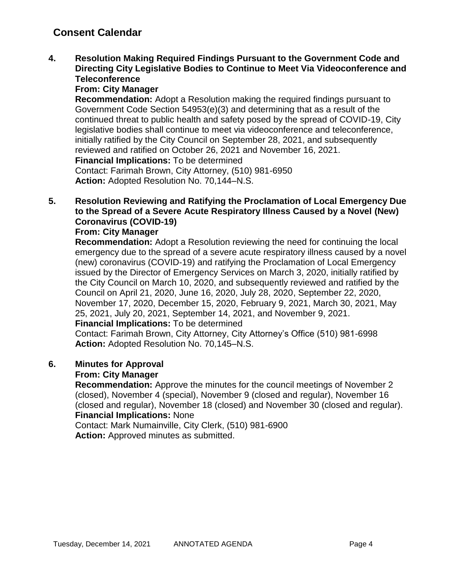**4. Resolution Making Required Findings Pursuant to the Government Code and Directing City Legislative Bodies to Continue to Meet Via Videoconference and Teleconference**

### **From: City Manager**

**Recommendation:** Adopt a Resolution making the required findings pursuant to Government Code Section 54953(e)(3) and determining that as a result of the continued threat to public health and safety posed by the spread of COVID-19, City legislative bodies shall continue to meet via videoconference and teleconference, initially ratified by the City Council on September 28, 2021, and subsequently reviewed and ratified on October 26, 2021 and November 16, 2021. **Financial Implications:** To be determined

Contact: Farimah Brown, City Attorney, (510) 981-6950 **Action:** Adopted Resolution No. 70,144–N.S.

## **5. Resolution Reviewing and Ratifying the Proclamation of Local Emergency Due to the Spread of a Severe Acute Respiratory Illness Caused by a Novel (New) Coronavirus (COVID-19)**

### **From: City Manager**

**Recommendation:** Adopt a Resolution reviewing the need for continuing the local emergency due to the spread of a severe acute respiratory illness caused by a novel (new) coronavirus (COVID-19) and ratifying the Proclamation of Local Emergency issued by the Director of Emergency Services on March 3, 2020, initially ratified by the City Council on March 10, 2020, and subsequently reviewed and ratified by the Council on April 21, 2020, June 16, 2020, July 28, 2020, September 22, 2020, November 17, 2020, December 15, 2020, February 9, 2021, March 30, 2021, May 25, 2021, July 20, 2021, September 14, 2021, and November 9, 2021.

### **Financial Implications:** To be determined

Contact: Farimah Brown, City Attorney, City Attorney's Office (510) 981-6998 **Action:** Adopted Resolution No. 70,145–N.S.

### **6. Minutes for Approval**

### **From: City Manager**

**Recommendation:** Approve the minutes for the council meetings of November 2 (closed), November 4 (special), November 9 (closed and regular), November 16 (closed and regular), November 18 (closed) and November 30 (closed and regular). **Financial Implications:** None

Contact: Mark Numainville, City Clerk, (510) 981-6900 **Action:** Approved minutes as submitted.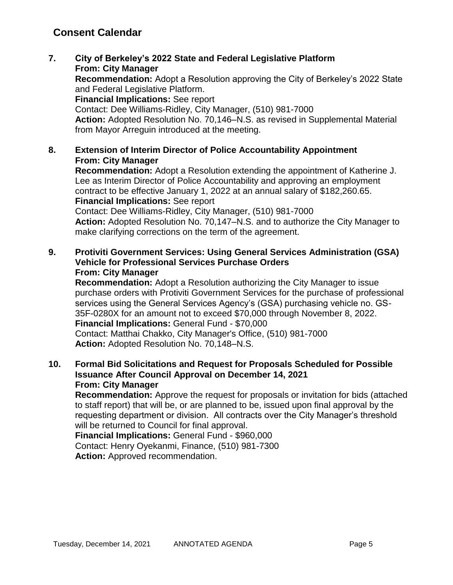**7. City of Berkeley's 2022 State and Federal Legislative Platform From: City Manager**

**Recommendation:** Adopt a Resolution approving the City of Berkeley's 2022 State and Federal Legislative Platform.

**Financial Implications:** See report

Contact: Dee Williams-Ridley, City Manager, (510) 981-7000

**Action:** Adopted Resolution No. 70,146–N.S. as revised in Supplemental Material from Mayor Arreguin introduced at the meeting.

## **8. Extension of Interim Director of Police Accountability Appointment From: City Manager**

**Recommendation:** Adopt a Resolution extending the appointment of Katherine J. Lee as Interim Director of Police Accountability and approving an employment contract to be effective January 1, 2022 at an annual salary of \$182,260.65. **Financial Implications:** See report

Contact: Dee Williams-Ridley, City Manager, (510) 981-7000 **Action:** Adopted Resolution No. 70,147–N.S. and to authorize the City Manager to make clarifying corrections on the term of the agreement.

**9. Protiviti Government Services: Using General Services Administration (GSA) Vehicle for Professional Services Purchase Orders From: City Manager**

**Recommendation:** Adopt a Resolution authorizing the City Manager to issue purchase orders with Protiviti Government Services for the purchase of professional services using the General Services Agency's (GSA) purchasing vehicle no. GS-35F-0280X for an amount not to exceed \$70,000 through November 8, 2022. **Financial Implications:** General Fund - \$70,000 Contact: Matthai Chakko, City Manager's Office, (510) 981-7000 **Action:** Adopted Resolution No. 70,148–N.S.

### **10. Formal Bid Solicitations and Request for Proposals Scheduled for Possible Issuance After Council Approval on December 14, 2021 From: City Manager**

**Recommendation:** Approve the request for proposals or invitation for bids (attached to staff report) that will be, or are planned to be, issued upon final approval by the requesting department or division. All contracts over the City Manager's threshold will be returned to Council for final approval.

**Financial Implications:** General Fund - \$960,000 Contact: Henry Oyekanmi, Finance, (510) 981-7300 **Action:** Approved recommendation.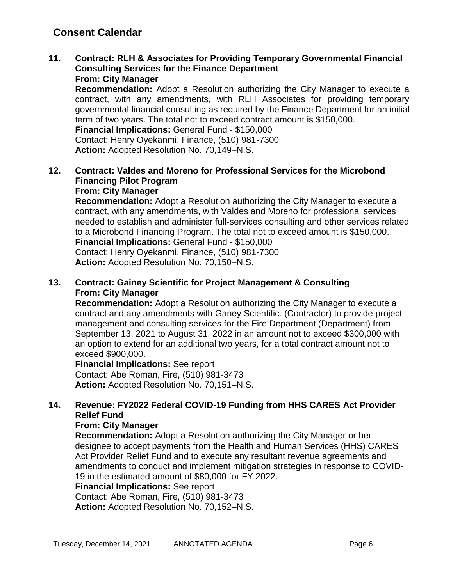#### **11. Contract: RLH & Associates for Providing Temporary Governmental Financial Consulting Services for the Finance Department From: City Manager**

**Recommendation:** Adopt a Resolution authorizing the City Manager to execute a contract, with any amendments, with RLH Associates for providing temporary governmental financial consulting as required by the Finance Department for an initial term of two years. The total not to exceed contract amount is \$150,000.

**Financial Implications:** General Fund - \$150,000 Contact: Henry Oyekanmi, Finance, (510) 981-7300

**Action:** Adopted Resolution No. 70,149–N.S.

### **12. Contract: Valdes and Moreno for Professional Services for the Microbond Financing Pilot Program From: City Manager**

**Recommendation:** Adopt a Resolution authorizing the City Manager to execute a contract, with any amendments, with Valdes and Moreno for professional services needed to establish and administer full-services consulting and other services related to a Microbond Financing Program. The total not to exceed amount is \$150,000. **Financial Implications:** General Fund - \$150,000

Contact: Henry Oyekanmi, Finance, (510) 981-7300 **Action:** Adopted Resolution No. 70,150–N.S.

## **13. Contract: Gainey Scientific for Project Management & Consulting From: City Manager**

**Recommendation:** Adopt a Resolution authorizing the City Manager to execute a contract and any amendments with Ganey Scientific. (Contractor) to provide project management and consulting services for the Fire Department (Department) from September 13, 2021 to August 31, 2022 in an amount not to exceed \$300,000 with an option to extend for an additional two years, for a total contract amount not to exceed \$900,000.

## **Financial Implications:** See report

Contact: Abe Roman, Fire, (510) 981-3473 **Action:** Adopted Resolution No. 70,151–N.S.

## **14. Revenue: FY2022 Federal COVID-19 Funding from HHS CARES Act Provider Relief Fund**

### **From: City Manager**

**Recommendation:** Adopt a Resolution authorizing the City Manager or her designee to accept payments from the Health and Human Services (HHS) CARES Act Provider Relief Fund and to execute any resultant revenue agreements and amendments to conduct and implement mitigation strategies in response to COVID-19 in the estimated amount of \$80,000 for FY 2022.

**Financial Implications:** See report

Contact: Abe Roman, Fire, (510) 981-3473

**Action:** Adopted Resolution No. 70,152–N.S.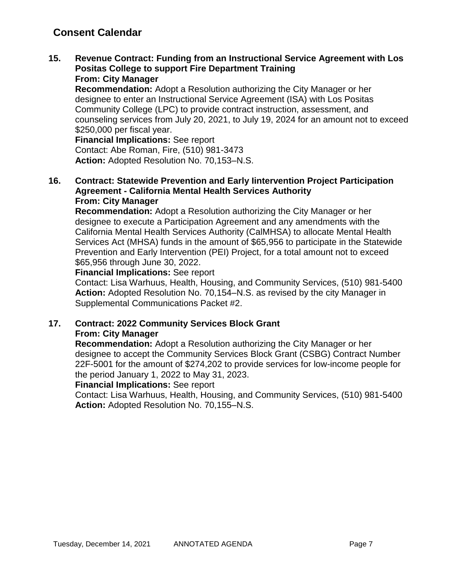#### **15. Revenue Contract: Funding from an Instructional Service Agreement with Los Positas College to support Fire Department Training From: City Manager**

**Recommendation:** Adopt a Resolution authorizing the City Manager or her designee to enter an Instructional Service Agreement (ISA) with Los Positas Community College (LPC) to provide contract instruction, assessment, and counseling services from July 20, 2021, to July 19, 2024 for an amount not to exceed \$250,000 per fiscal year.

**Financial Implications:** See report Contact: Abe Roman, Fire, (510) 981-3473 **Action:** Adopted Resolution No. 70,153–N.S.

### **16. Contract: Statewide Prevention and Early Iintervention Project Participation Agreement - California Mental Health Services Authority From: City Manager**

**Recommendation:** Adopt a Resolution authorizing the City Manager or her designee to execute a Participation Agreement and any amendments with the California Mental Health Services Authority (CalMHSA) to allocate Mental Health Services Act (MHSA) funds in the amount of \$65,956 to participate in the Statewide Prevention and Early Intervention (PEI) Project, for a total amount not to exceed \$65,956 through June 30, 2022.

### **Financial Implications:** See report

Contact: Lisa Warhuus, Health, Housing, and Community Services, (510) 981-5400 **Action:** Adopted Resolution No. 70,154–N.S. as revised by the city Manager in Supplemental Communications Packet #2.

## **17. Contract: 2022 Community Services Block Grant From: City Manager**

**Recommendation:** Adopt a Resolution authorizing the City Manager or her designee to accept the Community Services Block Grant (CSBG) Contract Number 22F-5001 for the amount of \$274,202 to provide services for low-income people for the period January 1, 2022 to May 31, 2023.

### **Financial Implications:** See report

Contact: Lisa Warhuus, Health, Housing, and Community Services, (510) 981-5400 **Action:** Adopted Resolution No. 70,155–N.S.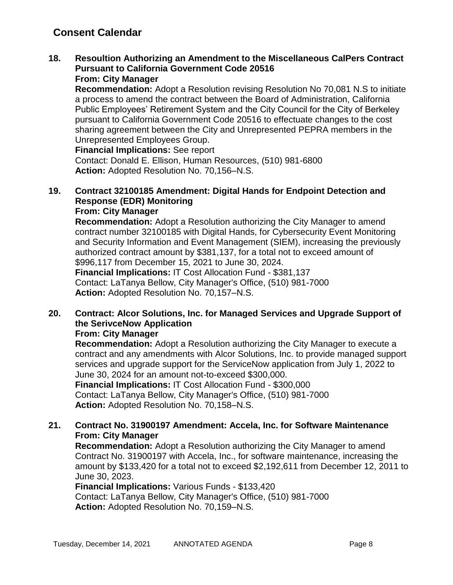#### **18. Resoultion Authorizing an Amendment to the Miscellaneous CalPers Contract Pursuant to California Government Code 20516 From: City Manager**

**Recommendation:** Adopt a Resolution revising Resolution No 70,081 N.S to initiate a process to amend the contract between the Board of Administration, California Public Employees' Retirement System and the City Council for the City of Berkeley pursuant to California Government Code 20516 to effectuate changes to the cost sharing agreement between the City and Unrepresented PEPRA members in the Unrepresented Employees Group.

**Financial Implications:** See report

Contact: Donald E. Ellison, Human Resources, (510) 981-6800 **Action:** Adopted Resolution No. 70,156–N.S.

# **19. Contract 32100185 Amendment: Digital Hands for Endpoint Detection and Response (EDR) Monitoring**

## **From: City Manager**

**Recommendation:** Adopt a Resolution authorizing the City Manager to amend contract number 32100185 with Digital Hands, for Cybersecurity Event Monitoring and Security Information and Event Management (SIEM), increasing the previously authorized contract amount by \$381,137, for a total not to exceed amount of \$996,117 from December 15, 2021 to June 30, 2024.

**Financial Implications:** IT Cost Allocation Fund - \$381,137 Contact: LaTanya Bellow, City Manager's Office, (510) 981-7000 **Action:** Adopted Resolution No. 70,157–N.S.

# **20. Contract: Alcor Solutions, Inc. for Managed Services and Upgrade Support of the SerivceNow Application**

### **From: City Manager**

**Recommendation:** Adopt a Resolution authorizing the City Manager to execute a contract and any amendments with Alcor Solutions, Inc. to provide managed support services and upgrade support for the ServiceNow application from July 1, 2022 to June 30, 2024 for an amount not-to-exceed \$300,000.

**Financial Implications:** IT Cost Allocation Fund - \$300,000 Contact: LaTanya Bellow, City Manager's Office, (510) 981-7000 **Action:** Adopted Resolution No. 70,158–N.S.

## **21. Contract No. 31900197 Amendment: Accela, Inc. for Software Maintenance From: City Manager**

**Recommendation:** Adopt a Resolution authorizing the City Manager to amend Contract No. 31900197 with Accela, Inc., for software maintenance, increasing the amount by \$133,420 for a total not to exceed \$2,192,611 from December 12, 2011 to June 30, 2023.

**Financial Implications:** Various Funds - \$133,420 Contact: LaTanya Bellow, City Manager's Office, (510) 981-7000 **Action:** Adopted Resolution No. 70,159–N.S.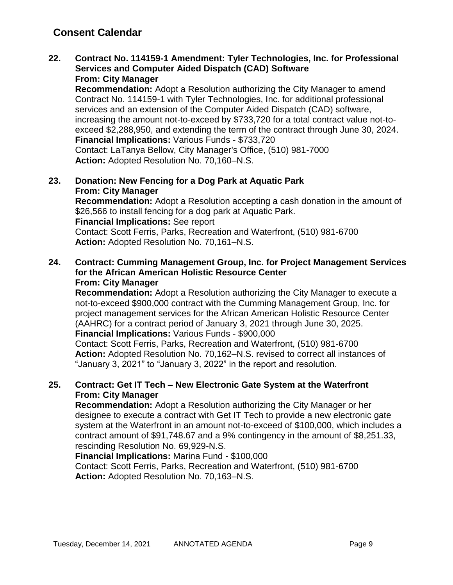### **22. Contract No. 114159-1 Amendment: Tyler Technologies, Inc. for Professional Services and Computer Aided Dispatch (CAD) Software From: City Manager**

**Recommendation:** Adopt a Resolution authorizing the City Manager to amend Contract No. 114159-1 with Tyler Technologies, Inc. for additional professional services and an extension of the Computer Aided Dispatch (CAD) software, increasing the amount not-to-exceed by \$733,720 for a total contract value not-toexceed \$2,288,950, and extending the term of the contract through June 30, 2024. **Financial Implications:** Various Funds - \$733,720 Contact: LaTanya Bellow, City Manager's Office, (510) 981-7000

**Action:** Adopted Resolution No. 70,160–N.S.

### **23. Donation: New Fencing for a Dog Park at Aquatic Park From: City Manager**

**Recommendation:** Adopt a Resolution accepting a cash donation in the amount of \$26,566 to install fencing for a dog park at Aquatic Park. **Financial Implications:** See report Contact: Scott Ferris, Parks, Recreation and Waterfront, (510) 981-6700 **Action:** Adopted Resolution No. 70,161–N.S.

### **24. Contract: Cumming Management Group, Inc. for Project Management Services for the African American Holistic Resource Center From: City Manager**

**Recommendation:** Adopt a Resolution authorizing the City Manager to execute a not-to-exceed \$900,000 contract with the Cumming Management Group, Inc. for project management services for the African American Holistic Resource Center (AAHRC) for a contract period of January 3, 2021 through June 30, 2025. **Financial Implications:** Various Funds - \$900,000 Contact: Scott Ferris, Parks, Recreation and Waterfront, (510) 981-6700 **Action:** Adopted Resolution No. 70,162–N.S. revised to correct all instances of

"January 3, 2021" to "January 3, 2022" in the report and resolution.

### **25. Contract: Get IT Tech – New Electronic Gate System at the Waterfront From: City Manager**

**Recommendation:** Adopt a Resolution authorizing the City Manager or her designee to execute a contract with Get IT Tech to provide a new electronic gate system at the Waterfront in an amount not-to-exceed of \$100,000, which includes a contract amount of \$91,748.67 and a 9% contingency in the amount of \$8,251.33, rescinding Resolution No. 69,929-N.S.

## **Financial Implications:** Marina Fund - \$100,000

Contact: Scott Ferris, Parks, Recreation and Waterfront, (510) 981-6700 **Action:** Adopted Resolution No. 70,163–N.S.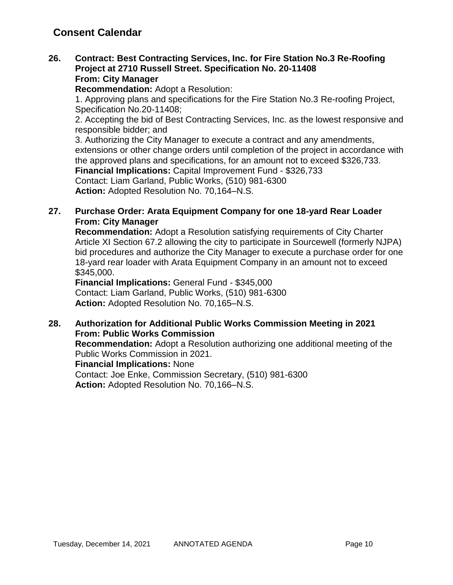### **26. Contract: Best Contracting Services, Inc. for Fire Station No.3 Re-Roofing Project at 2710 Russell Street. Specification No. 20-11408 From: City Manager**

**Recommendation:** Adopt a Resolution:

1. Approving plans and specifications for the Fire Station No.3 Re-roofing Project, Specification No.20-11408;

2. Accepting the bid of Best Contracting Services, Inc. as the lowest responsive and responsible bidder; and

3. Authorizing the City Manager to execute a contract and any amendments, extensions or other change orders until completion of the project in accordance with the approved plans and specifications, for an amount not to exceed \$326,733. **Financial Implications:** Capital Improvement Fund - \$326,733

Contact: Liam Garland, Public Works, (510) 981-6300

**Action:** Adopted Resolution No. 70,164–N.S.

## **27. Purchase Order: Arata Equipment Company for one 18-yard Rear Loader From: City Manager**

**Recommendation:** Adopt a Resolution satisfying requirements of City Charter Article XI Section 67.2 allowing the city to participate in Sourcewell (formerly NJPA) bid procedures and authorize the City Manager to execute a purchase order for one 18-yard rear loader with Arata Equipment Company in an amount not to exceed \$345,000.

**Financial Implications:** General Fund - \$345,000 Contact: Liam Garland, Public Works, (510) 981-6300 **Action:** Adopted Resolution No. 70,165–N.S.

### **28. Authorization for Additional Public Works Commission Meeting in 2021 From: Public Works Commission**

**Recommendation:** Adopt a Resolution authorizing one additional meeting of the Public Works Commission in 2021.

**Financial Implications:** None

Contact: Joe Enke, Commission Secretary, (510) 981-6300 **Action:** Adopted Resolution No. 70,166–N.S.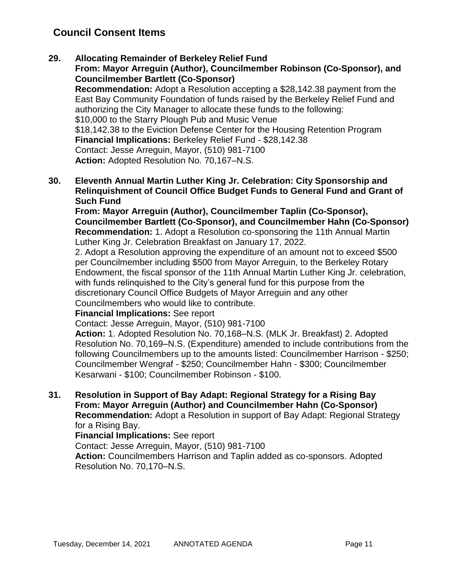### **29. Allocating Remainder of Berkeley Relief Fund**

**From: Mayor Arreguin (Author), Councilmember Robinson (Co-Sponsor), and Councilmember Bartlett (Co-Sponsor)**

**Recommendation:** Adopt a Resolution accepting a \$28,142.38 payment from the East Bay Community Foundation of funds raised by the Berkeley Relief Fund and authorizing the City Manager to allocate these funds to the following: \$10,000 to the Starry Plough Pub and Music Venue \$18,142.38 to the Eviction Defense Center for the Housing Retention Program **Financial Implications:** Berkeley Relief Fund - \$28,142.38 Contact: Jesse Arreguin, Mayor, (510) 981-7100 **Action:** Adopted Resolution No. 70,167–N.S.

**30. Eleventh Annual Martin Luther King Jr. Celebration: City Sponsorship and Relinquishment of Council Office Budget Funds to General Fund and Grant of Such Fund**

**From: Mayor Arreguin (Author), Councilmember Taplin (Co-Sponsor), Councilmember Bartlett (Co-Sponsor), and Councilmember Hahn (Co-Sponsor) Recommendation:** 1. Adopt a Resolution co-sponsoring the 11th Annual Martin Luther King Jr. Celebration Breakfast on January 17, 2022.

2. Adopt a Resolution approving the expenditure of an amount not to exceed \$500 per Councilmember including \$500 from Mayor Arreguin, to the Berkeley Rotary Endowment, the fiscal sponsor of the 11th Annual Martin Luther King Jr. celebration, with funds relinquished to the City's general fund for this purpose from the discretionary Council Office Budgets of Mayor Arreguin and any other Councilmembers who would like to contribute.

### **Financial Implications:** See report

Contact: Jesse Arreguin, Mayor, (510) 981-7100

**Action:** 1. Adopted Resolution No. 70,168–N.S. (MLK Jr. Breakfast) 2. Adopted Resolution No. 70,169–N.S. (Expenditure) amended to include contributions from the following Councilmembers up to the amounts listed: Councilmember Harrison - \$250; Councilmember Wengraf - \$250; Councilmember Hahn - \$300; Councilmember Kesarwani - \$100; Councilmember Robinson - \$100.

**31. Resolution in Support of Bay Adapt: Regional Strategy for a Rising Bay From: Mayor Arreguin (Author) and Councilmember Hahn (Co-Sponsor) Recommendation:** Adopt a Resolution in support of Bay Adapt: Regional Strategy

for a Rising Bay.

**Financial Implications:** See report

Contact: Jesse Arreguin, Mayor, (510) 981-7100

**Action:** Councilmembers Harrison and Taplin added as co-sponsors. Adopted Resolution No. 70,170–N.S.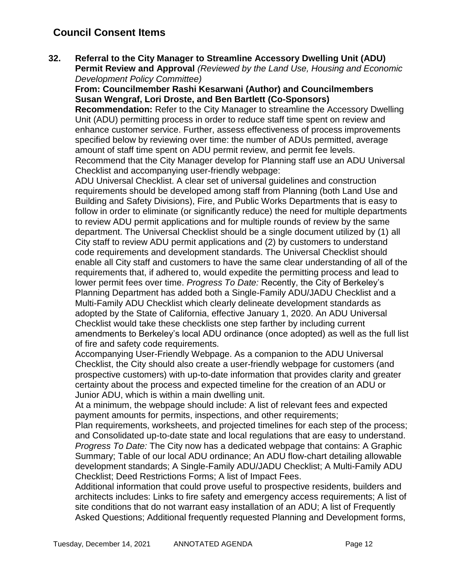**32. Referral to the City Manager to Streamline Accessory Dwelling Unit (ADU) Permit Review and Approval** *(Reviewed by the Land Use, Housing and Economic Development Policy Committee)*

**From: Councilmember Rashi Kesarwani (Author) and Councilmembers Susan Wengraf, Lori Droste, and Ben Bartlett (Co-Sponsors)**

**Recommendation:** Refer to the City Manager to streamline the Accessory Dwelling Unit (ADU) permitting process in order to reduce staff time spent on review and enhance customer service. Further, assess effectiveness of process improvements specified below by reviewing over time: the number of ADUs permitted, average amount of staff time spent on ADU permit review, and permit fee levels. Recommend that the City Manager develop for Planning staff use an ADU Universal Checklist and accompanying user-friendly webpage:

ADU Universal Checklist. A clear set of universal guidelines and construction requirements should be developed among staff from Planning (both Land Use and Building and Safety Divisions), Fire, and Public Works Departments that is easy to follow in order to eliminate (or significantly reduce) the need for multiple departments to review ADU permit applications and for multiple rounds of review by the same department. The Universal Checklist should be a single document utilized by (1) all City staff to review ADU permit applications and (2) by customers to understand code requirements and development standards. The Universal Checklist should enable all City staff and customers to have the same clear understanding of all of the requirements that, if adhered to, would expedite the permitting process and lead to lower permit fees over time. *Progress To Date:* Recently, the City of Berkeley's Planning Department has added both a Single-Family ADU/JADU Checklist and a Multi-Family ADU Checklist which clearly delineate development standards as adopted by the State of California, effective January 1, 2020. An ADU Universal Checklist would take these checklists one step farther by including current amendments to Berkeley's local ADU ordinance (once adopted) as well as the full list of fire and safety code requirements.

Accompanying User-Friendly Webpage. As a companion to the ADU Universal Checklist, the City should also create a user-friendly webpage for customers (and prospective customers) with up-to-date information that provides clarity and greater certainty about the process and expected timeline for the creation of an ADU or Junior ADU, which is within a main dwelling unit.

At a minimum, the webpage should include: A list of relevant fees and expected payment amounts for permits, inspections, and other requirements;

Plan requirements, worksheets, and projected timelines for each step of the process; and Consolidated up-to-date state and local regulations that are easy to understand. *Progress To Date:* The City now has a dedicated webpage that contains: A Graphic Summary; Table of our local ADU ordinance; An ADU flow-chart detailing allowable development standards; A Single-Family ADU/JADU Checklist; A Multi-Family ADU Checklist; Deed Restrictions Forms; A list of Impact Fees.

Additional information that could prove useful to prospective residents, builders and architects includes: Links to fire safety and emergency access requirements; A list of site conditions that do not warrant easy installation of an ADU; A list of Frequently Asked Questions; Additional frequently requested Planning and Development forms,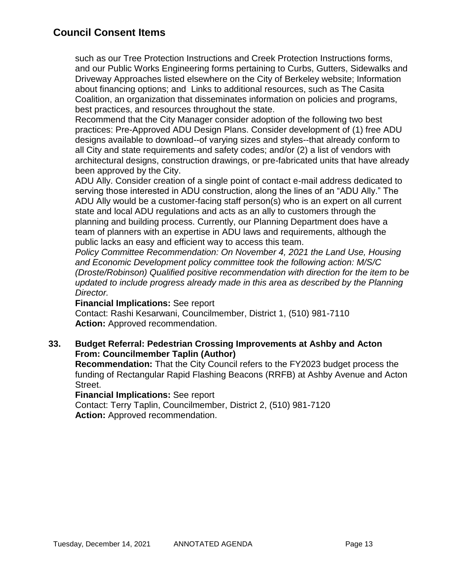such as our Tree Protection Instructions and Creek Protection Instructions forms, and our Public Works Engineering forms pertaining to Curbs, Gutters, Sidewalks and Driveway Approaches listed elsewhere on the City of Berkeley website; Information about financing options; and Links to additional resources, such as The Casita Coalition, an organization that disseminates information on policies and programs, best practices, and resources throughout the state.

Recommend that the City Manager consider adoption of the following two best practices: Pre-Approved ADU Design Plans. Consider development of (1) free ADU designs available to download--of varying sizes and styles--that already conform to all City and state requirements and safety codes; and/or (2) a list of vendors with architectural designs, construction drawings, or pre-fabricated units that have already been approved by the City.

ADU Ally. Consider creation of a single point of contact e-mail address dedicated to serving those interested in ADU construction, along the lines of an "ADU Ally." The ADU Ally would be a customer-facing staff person(s) who is an expert on all current state and local ADU regulations and acts as an ally to customers through the planning and building process. Currently, our Planning Department does have a team of planners with an expertise in ADU laws and requirements, although the public lacks an easy and efficient way to access this team.

*Policy Committee Recommendation: On November 4, 2021 the Land Use, Housing and Economic Development policy committee took the following action: M/S/C (Droste/Robinson) Qualified positive recommendation with direction for the item to be updated to include progress already made in this area as described by the Planning Director.* 

### **Financial Implications:** See report

Contact: Rashi Kesarwani, Councilmember, District 1, (510) 981-7110 **Action:** Approved recommendation.

## **33. Budget Referral: Pedestrian Crossing Improvements at Ashby and Acton From: Councilmember Taplin (Author)**

**Recommendation:** That the City Council refers to the FY2023 budget process the funding of Rectangular Rapid Flashing Beacons (RRFB) at Ashby Avenue and Acton Street.

**Financial Implications:** See report

Contact: Terry Taplin, Councilmember, District 2, (510) 981-7120 **Action:** Approved recommendation.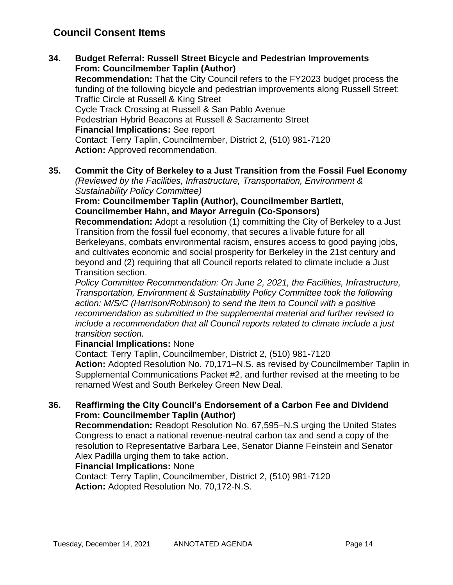- **34. Budget Referral: Russell Street Bicycle and Pedestrian Improvements From: Councilmember Taplin (Author) Recommendation:** That the City Council refers to the FY2023 budget process the funding of the following bicycle and pedestrian improvements along Russell Street: Traffic Circle at Russell & King Street Cycle Track Crossing at Russell & San Pablo Avenue Pedestrian Hybrid Beacons at Russell & Sacramento Street **Financial Implications:** See report Contact: Terry Taplin, Councilmember, District 2, (510) 981-7120 **Action:** Approved recommendation.
- **35. Commit the City of Berkeley to a Just Transition from the Fossil Fuel Economy**

*(Reviewed by the Facilities, Infrastructure, Transportation, Environment & Sustainability Policy Committee)*

### **From: Councilmember Taplin (Author), Councilmember Bartlett, Councilmember Hahn, and Mayor Arreguin (Co-Sponsors)**

**Recommendation:** Adopt a resolution (1) committing the City of Berkeley to a Just Transition from the fossil fuel economy, that secures a livable future for all Berkeleyans, combats environmental racism, ensures access to good paying jobs, and cultivates economic and social prosperity for Berkeley in the 21st century and beyond and (2) requiring that all Council reports related to climate include a Just Transition section.

*Policy Committee Recommendation: On June 2, 2021, the Facilities, Infrastructure, Transportation, Environment & Sustainability Policy Committee took the following action: M/S/C (Harrison/Robinson) to send the item to Council with a positive recommendation as submitted in the supplemental material and further revised to include a recommendation that all Council reports related to climate include a just transition section.* 

### **Financial Implications:** None

Contact: Terry Taplin, Councilmember, District 2, (510) 981-7120 **Action:** Adopted Resolution No. 70,171–N.S. as revised by Councilmember Taplin in Supplemental Communications Packet #2, and further revised at the meeting to be renamed West and South Berkeley Green New Deal.

## **36. Reaffirming the City Council's Endorsement of a Carbon Fee and Dividend From: Councilmember Taplin (Author)**

**Recommendation:** Readopt Resolution No. 67,595–N.S urging the United States Congress to enact a national revenue-neutral carbon tax and send a copy of the resolution to Representative Barbara Lee, Senator Dianne Feinstein and Senator Alex Padilla urging them to take action.

### **Financial Implications:** None

Contact: Terry Taplin, Councilmember, District 2, (510) 981-7120 **Action:** Adopted Resolution No. 70,172-N.S.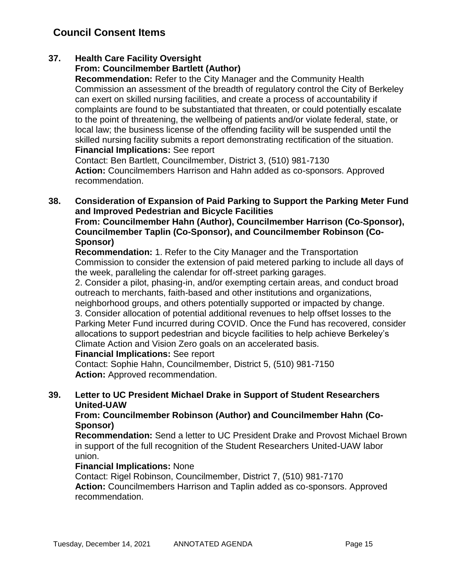## **37. Health Care Facility Oversight**

## **From: Councilmember Bartlett (Author)**

**Recommendation:** Refer to the City Manager and the Community Health Commission an assessment of the breadth of regulatory control the City of Berkeley can exert on skilled nursing facilities, and create a process of accountability if complaints are found to be substantiated that threaten, or could potentially escalate to the point of threatening, the wellbeing of patients and/or violate federal, state, or local law; the business license of the offending facility will be suspended until the skilled nursing facility submits a report demonstrating rectification of the situation. **Financial Implications:** See report

Contact: Ben Bartlett, Councilmember, District 3, (510) 981-7130 **Action:** Councilmembers Harrison and Hahn added as co-sponsors. Approved recommendation.

### **38. Consideration of Expansion of Paid Parking to Support the Parking Meter Fund and Improved Pedestrian and Bicycle Facilities**

**From: Councilmember Hahn (Author), Councilmember Harrison (Co-Sponsor), Councilmember Taplin (Co-Sponsor), and Councilmember Robinson (Co-Sponsor)**

**Recommendation:** 1. Refer to the City Manager and the Transportation Commission to consider the extension of paid metered parking to include all days of the week, paralleling the calendar for off-street parking garages.

2. Consider a pilot, phasing-in, and/or exempting certain areas, and conduct broad outreach to merchants, faith-based and other institutions and organizations,

neighborhood groups, and others potentially supported or impacted by change. 3. Consider allocation of potential additional revenues to help offset losses to the Parking Meter Fund incurred during COVID. Once the Fund has recovered, consider allocations to support pedestrian and bicycle facilities to help achieve Berkeley's Climate Action and Vision Zero goals on an accelerated basis.

### **Financial Implications:** See report

Contact: Sophie Hahn, Councilmember, District 5, (510) 981-7150 **Action:** Approved recommendation.

### **39. Letter to UC President Michael Drake in Support of Student Researchers United-UAW**

### **From: Councilmember Robinson (Author) and Councilmember Hahn (Co-Sponsor)**

**Recommendation:** Send a letter to UC President Drake and Provost Michael Brown in support of the full recognition of the Student Researchers United-UAW labor union.

### **Financial Implications:** None

Contact: Rigel Robinson, Councilmember, District 7, (510) 981-7170 **Action:** Councilmembers Harrison and Taplin added as co-sponsors. Approved recommendation.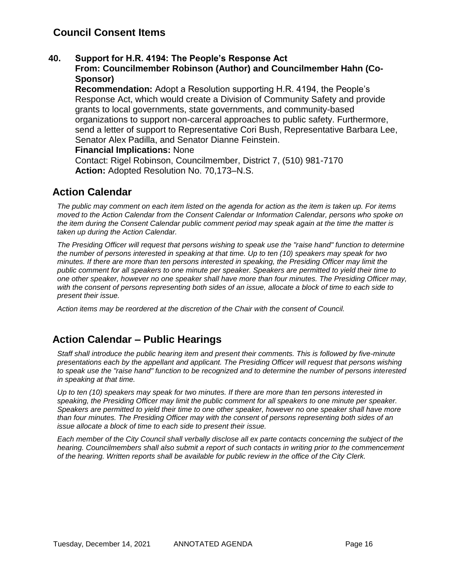### **40. Support for H.R. 4194: The People's Response Act**

**From: Councilmember Robinson (Author) and Councilmember Hahn (Co-Sponsor)**

**Recommendation:** Adopt a Resolution supporting H.R. 4194, the People's Response Act, which would create a Division of Community Safety and provide grants to local governments, state governments, and community-based organizations to support non-carceral approaches to public safety. Furthermore, send a letter of support to Representative Cori Bush, Representative Barbara Lee, Senator Alex Padilla, and Senator Dianne Feinstein.

### **Financial Implications:** None

Contact: Rigel Robinson, Councilmember, District 7, (510) 981-7170 **Action:** Adopted Resolution No. 70,173–N.S.

# **Action Calendar**

*The public may comment on each item listed on the agenda for action as the item is taken up. For items moved to the Action Calendar from the Consent Calendar or Information Calendar, persons who spoke on the item during the Consent Calendar public comment period may speak again at the time the matter is taken up during the Action Calendar.*

*The Presiding Officer will request that persons wishing to speak use the "raise hand" function to determine the number of persons interested in speaking at that time. Up to ten (10) speakers may speak for two minutes. If there are more than ten persons interested in speaking, the Presiding Officer may limit the public comment for all speakers to one minute per speaker. Speakers are permitted to yield their time to one other speaker, however no one speaker shall have more than four minutes. The Presiding Officer may, with the consent of persons representing both sides of an issue, allocate a block of time to each side to present their issue.*

*Action items may be reordered at the discretion of the Chair with the consent of Council.*

# **Action Calendar – Public Hearings**

*Staff shall introduce the public hearing item and present their comments. This is followed by five-minute presentations each by the appellant and applicant. The Presiding Officer will request that persons wishing to speak use the "raise hand" function to be recognized and to determine the number of persons interested in speaking at that time.*

*Up to ten (10) speakers may speak for two minutes. If there are more than ten persons interested in speaking, the Presiding Officer may limit the public comment for all speakers to one minute per speaker. Speakers are permitted to yield their time to one other speaker, however no one speaker shall have more than four minutes. The Presiding Officer may with the consent of persons representing both sides of an issue allocate a block of time to each side to present their issue.*

*Each member of the City Council shall verbally disclose all ex parte contacts concerning the subject of the hearing. Councilmembers shall also submit a report of such contacts in writing prior to the commencement of the hearing. Written reports shall be available for public review in the office of the City Clerk.*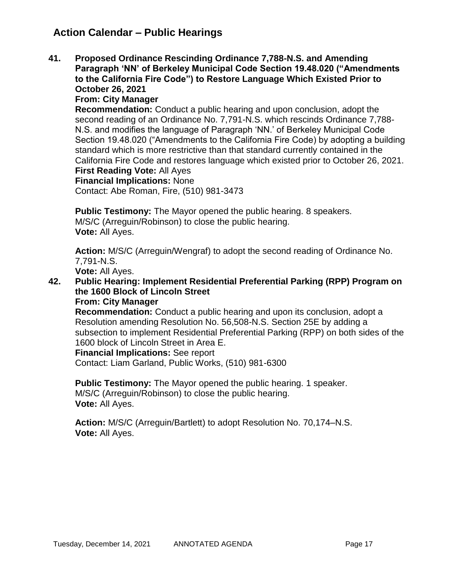# **Action Calendar – Public Hearings**

**41. Proposed Ordinance Rescinding Ordinance 7,788-N.S. and Amending Paragraph 'NN' of Berkeley Municipal Code Section 19.48.020 ("Amendments to the California Fire Code") to Restore Language Which Existed Prior to October 26, 2021**

## **From: City Manager**

**Recommendation:** Conduct a public hearing and upon conclusion, adopt the second reading of an Ordinance No. 7,791-N.S. which rescinds Ordinance 7,788- N.S. and modifies the language of Paragraph 'NN.' of Berkeley Municipal Code Section 19.48.020 ("Amendments to the California Fire Code) by adopting a building standard which is more restrictive than that standard currently contained in the California Fire Code and restores language which existed prior to October 26, 2021. **First Reading Vote:** All Ayes

# **Financial Implications:** None

Contact: Abe Roman, Fire, (510) 981-3473

**Public Testimony:** The Mayor opened the public hearing. 8 speakers. M/S/C (Arreguin/Robinson) to close the public hearing. **Vote:** All Ayes.

**Action:** M/S/C (Arreguin/Wengraf) to adopt the second reading of Ordinance No. 7,791-N.S.

**Vote:** All Ayes.

**42. Public Hearing: Implement Residential Preferential Parking (RPP) Program on the 1600 Block of Lincoln Street**

### **From: City Manager**

**Recommendation:** Conduct a public hearing and upon its conclusion, adopt a Resolution amending Resolution No. 56,508-N.S. Section 25E by adding a subsection to implement Residential Preferential Parking (RPP) on both sides of the 1600 block of Lincoln Street in Area E.

### **Financial Implications:** See report

Contact: Liam Garland, Public Works, (510) 981-6300

**Public Testimony:** The Mayor opened the public hearing. 1 speaker. M/S/C (Arreguin/Robinson) to close the public hearing. **Vote:** All Ayes.

**Action:** M/S/C (Arreguin/Bartlett) to adopt Resolution No. 70,174–N.S. **Vote:** All Ayes.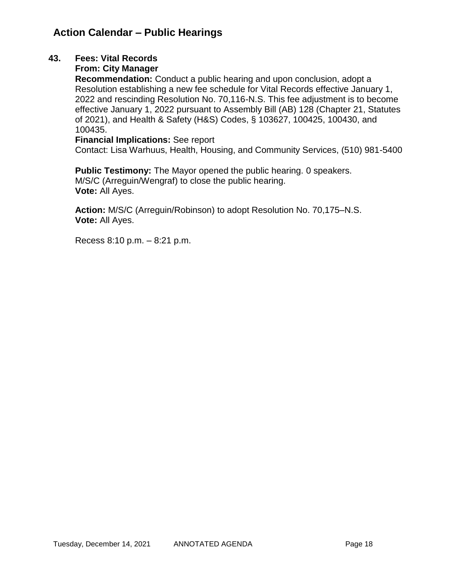# **Action Calendar – Public Hearings**

## **43. Fees: Vital Records**

## **From: City Manager**

**Recommendation:** Conduct a public hearing and upon conclusion, adopt a Resolution establishing a new fee schedule for Vital Records effective January 1, 2022 and rescinding Resolution No. 70,116-N.S. This fee adjustment is to become effective January 1, 2022 pursuant to Assembly Bill (AB) 128 (Chapter 21, Statutes of 2021), and Health & Safety (H&S) Codes, § 103627, 100425, 100430, and 100435.

### **Financial Implications:** See report

Contact: Lisa Warhuus, Health, Housing, and Community Services, (510) 981-5400

**Public Testimony:** The Mayor opened the public hearing. 0 speakers. M/S/C (Arreguin/Wengraf) to close the public hearing. **Vote:** All Ayes.

**Action:** M/S/C (Arreguin/Robinson) to adopt Resolution No. 70,175–N.S. **Vote:** All Ayes.

Recess 8:10 p.m. – 8:21 p.m.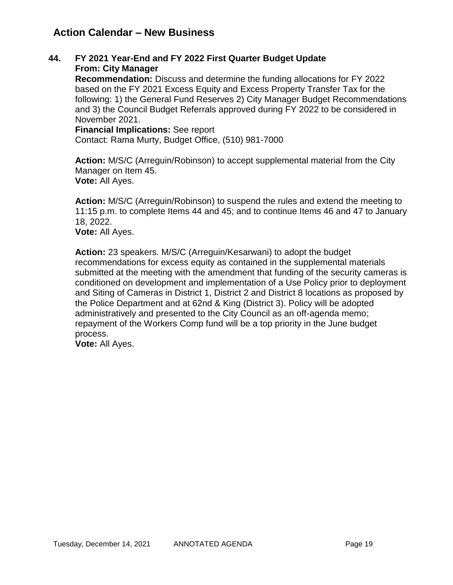# **Action Calendar – New Business**

### **44. FY 2021 Year-End and FY 2022 First Quarter Budget Update From: City Manager**

**Recommendation:** Discuss and determine the funding allocations for FY 2022 based on the FY 2021 Excess Equity and Excess Property Transfer Tax for the following: 1) the General Fund Reserves 2) City Manager Budget Recommendations and 3) the Council Budget Referrals approved during FY 2022 to be considered in November 2021.

**Financial Implications:** See report Contact: Rama Murty, Budget Office, (510) 981-7000

**Action:** M/S/C (Arreguin/Robinson) to accept supplemental material from the City Manager on Item 45. **Vote:** All Ayes.

**Action:** M/S/C (Arreguin/Robinson) to suspend the rules and extend the meeting to 11:15 p.m. to complete Items 44 and 45; and to continue Items 46 and 47 to January 18, 2022.

**Vote:** All Ayes.

**Action:** 23 speakers. M/S/C (Arreguin/Kesarwani) to adopt the budget recommendations for excess equity as contained in the supplemental materials submitted at the meeting with the amendment that funding of the security cameras is conditioned on development and implementation of a Use Policy prior to deployment and Siting of Cameras in District 1, District 2 and District 8 locations as proposed by the Police Department and at 62nd & King (District 3). Policy will be adopted administratively and presented to the City Council as an off-agenda memo; repayment of the Workers Comp fund will be a top priority in the June budget process.

**Vote:** All Ayes.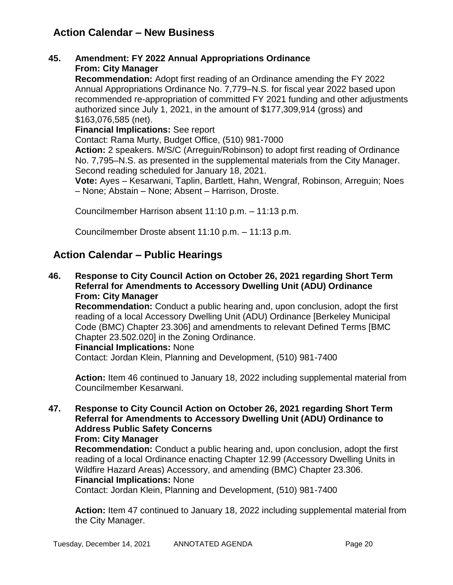# **Action Calendar – New Business**

### **45. Amendment: FY 2022 Annual Appropriations Ordinance From: City Manager**

**Recommendation:** Adopt first reading of an Ordinance amending the FY 2022 Annual Appropriations Ordinance No. 7,779–N.S. for fiscal year 2022 based upon recommended re-appropriation of committed FY 2021 funding and other adjustments authorized since July 1, 2021, in the amount of \$177,309,914 (gross) and \$163,076,585 (net).

**Financial Implications:** See report

Contact: Rama Murty, Budget Office, (510) 981-7000

**Action:** 2 speakers. M/S/C (Arreguin/Robinson) to adopt first reading of Ordinance No. 7,795–N.S. as presented in the supplemental materials from the City Manager. Second reading scheduled for January 18, 2021.

**Vote:** Ayes – Kesarwani, Taplin, Bartlett, Hahn, Wengraf, Robinson, Arreguin; Noes – None; Abstain – None; Absent – Harrison, Droste.

Councilmember Harrison absent 11:10 p.m. – 11:13 p.m.

Councilmember Droste absent 11:10 p.m. – 11:13 p.m.

## **Action Calendar – Public Hearings**

**46. Response to City Council Action on October 26, 2021 regarding Short Term Referral for Amendments to Accessory Dwelling Unit (ADU) Ordinance From: City Manager** 

**Recommendation:** Conduct a public hearing and, upon conclusion, adopt the first reading of a local Accessory Dwelling Unit (ADU) Ordinance [Berkeley Municipal Code (BMC) Chapter 23.306] and amendments to relevant Defined Terms [BMC Chapter 23.502.020] in the Zoning Ordinance.

### **Financial Implications:** None

Contact: Jordan Klein, Planning and Development, (510) 981-7400

**Action:** Item 46 continued to January 18, 2022 including supplemental material from Councilmember Kesarwani.

### **47. Response to City Council Action on October 26, 2021 regarding Short Term Referral for Amendments to Accessory Dwelling Unit (ADU) Ordinance to Address Public Safety Concerns From: City Manager**

**Recommendation:** Conduct a public hearing and, upon conclusion, adopt the first reading of a local Ordinance enacting Chapter 12.99 (Accessory Dwelling Units in Wildfire Hazard Areas) Accessory, and amending (BMC) Chapter 23.306.

## **Financial Implications:** None

Contact: Jordan Klein, Planning and Development, (510) 981-7400

**Action:** Item 47 continued to January 18, 2022 including supplemental material from the City Manager.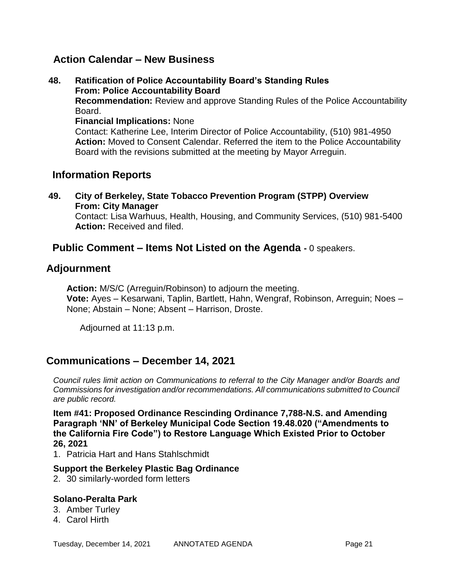## **Action Calendar – New Business**

**48. Ratification of Police Accountability Board's Standing Rules From: Police Accountability Board Recommendation:** Review and approve Standing Rules of the Police Accountability Board. **Financial Implications:** None Contact: Katherine Lee, Interim Director of Police Accountability, (510) 981-4950

**Action:** Moved to Consent Calendar. Referred the item to the Police Accountability Board with the revisions submitted at the meeting by Mayor Arreguin.

# **Information Reports**

**49. City of Berkeley, State Tobacco Prevention Program (STPP) Overview From: City Manager** Contact: Lisa Warhuus, Health, Housing, and Community Services, (510) 981-5400 **Action:** Received and filed.

## **Public Comment – Items Not Listed on the Agenda -** 0 speakers.

## **Adjournment**

**Action:** M/S/C (Arreguin/Robinson) to adjourn the meeting. **Vote:** Ayes – Kesarwani, Taplin, Bartlett, Hahn, Wengraf, Robinson, Arreguin; Noes – None; Abstain – None; Absent – Harrison, Droste.

Adjourned at 11:13 p.m.

## **Communications – December 14, 2021**

*Council rules limit action on Communications to referral to the City Manager and/or Boards and Commissions for investigation and/or recommendations. All communications submitted to Council are public record.*

**Item #41: Proposed Ordinance Rescinding Ordinance 7,788-N.S. and Amending Paragraph 'NN' of Berkeley Municipal Code Section 19.48.020 ("Amendments to the California Fire Code") to Restore Language Which Existed Prior to October 26, 2021**

1. Patricia Hart and Hans Stahlschmidt

### **Support the Berkeley Plastic Bag Ordinance**

2. 30 similarly-worded form letters

### **Solano-Peralta Park**

- 3. Amber Turley
- 4. Carol Hirth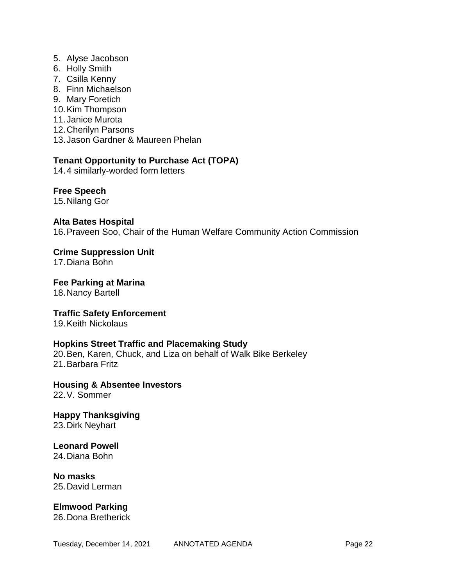- 5. Alyse Jacobson
- 6. Holly Smith
- 7. Csilla Kenny
- 8. Finn Michaelson
- 9. Mary Foretich
- 10.Kim Thompson
- 11.Janice Murota
- 12.Cherilyn Parsons
- 13.Jason Gardner & Maureen Phelan

## **Tenant Opportunity to Purchase Act (TOPA)**

14.4 similarly-worded form letters

**Free Speech**

15.Nilang Gor

### **Alta Bates Hospital**

16.Praveen Soo, Chair of the Human Welfare Community Action Commission

**Crime Suppression Unit**

17.Diana Bohn

**Fee Parking at Marina**

18.Nancy Bartell

**Traffic Safety Enforcement** 

19.Keith Nickolaus

### **Hopkins Street Traffic and Placemaking Study**

20.Ben, Karen, Chuck, and Liza on behalf of Walk Bike Berkeley 21.Barbara Fritz

**Housing & Absentee Investors** 22.V. Sommer

**Happy Thanksgiving** 23.Dirk Neyhart

**Leonard Powell** 24.Diana Bohn

**No masks** 25.David Lerman

**Elmwood Parking** 26.Dona Bretherick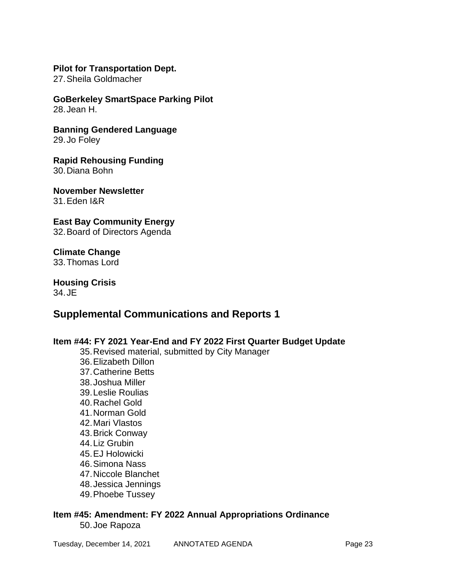### **Pilot for Transportation Dept.**

27.Sheila Goldmacher

**GoBerkeley SmartSpace Parking Pilot** 28.Jean H.

**Banning Gendered Language** 29.Jo Foley

**Rapid Rehousing Funding** 30.Diana Bohn

**November Newsletter** 31.Eden I&R

**East Bay Community Energy** 32.Board of Directors Agenda

**Climate Change** 33.Thomas Lord

**Housing Crisis**  34.JE

## **Supplemental Communications and Reports 1**

**Item #44: FY 2021 Year-End and FY 2022 First Quarter Budget Update** 35.Revised material, submitted by City Manager 36.Elizabeth Dillon 37.Catherine Betts 38.Joshua Miller 39.Leslie Roulias 40.Rachel Gold 41.Norman Gold 42.Mari Vlastos 43.Brick Conway 44.Liz Grubin 45.EJ Holowicki 46.Simona Nass 47.Niccole Blanchet 48.Jessica Jennings 49.Phoebe Tussey **Item #45: Amendment: FY 2022 Annual Appropriations Ordinance**

50.Joe Rapoza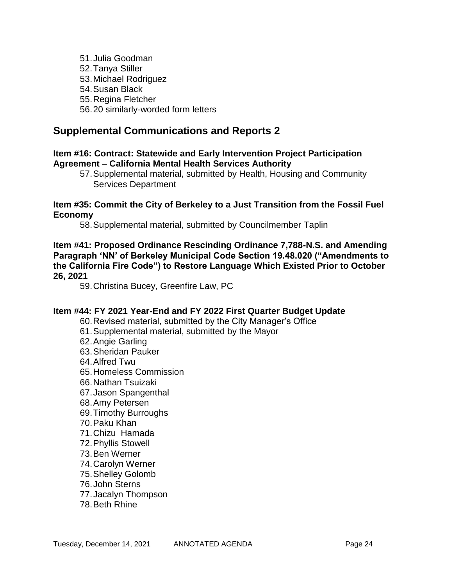51.Julia Goodman 52.Tanya Stiller 53.Michael Rodriguez 54.Susan Black 55.Regina Fletcher 56.20 similarly-worded form letters

# **Supplemental Communications and Reports 2**

### **Item #16: Contract: Statewide and Early Intervention Project Participation Agreement – California Mental Health Services Authority**

57.Supplemental material, submitted by Health, Housing and Community Services Department

### **Item #35: Commit the City of Berkeley to a Just Transition from the Fossil Fuel Economy**

58.Supplemental material, submitted by Councilmember Taplin

**Item #41: Proposed Ordinance Rescinding Ordinance 7,788-N.S. and Amending Paragraph 'NN' of Berkeley Municipal Code Section 19.48.020 ("Amendments to the California Fire Code") to Restore Language Which Existed Prior to October 26, 2021**

59.Christina Bucey, Greenfire Law, PC

### **Item #44: FY 2021 Year-End and FY 2022 First Quarter Budget Update**

- 60.Revised material, submitted by the City Manager's Office
- 61.Supplemental material, submitted by the Mayor
- 62.Angie Garling
- 63.Sheridan Pauker
- 64.Alfred Twu
- 65.Homeless Commission
- 66.Nathan Tsuizaki
- 67.Jason Spangenthal
- 68.Amy Petersen
- 69.Timothy Burroughs
- 70.Paku Khan
- 71.Chizu Hamada
- 72.Phyllis Stowell
- 73.Ben Werner
- 74.Carolyn Werner
- 75.Shelley Golomb
- 76.John Sterns
- 77.Jacalyn Thompson
- 78.Beth Rhine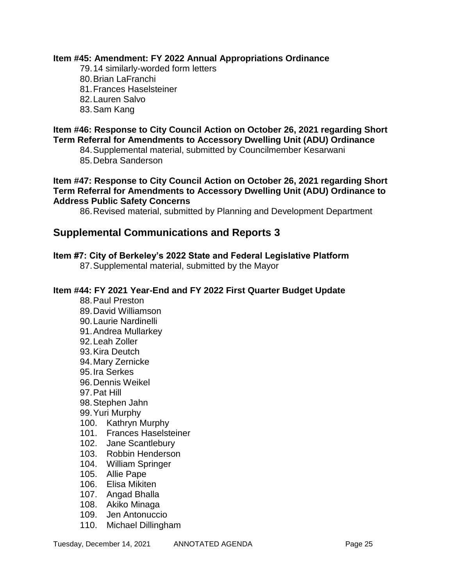### **Item #45: Amendment: FY 2022 Annual Appropriations Ordinance**

- 79.14 similarly-worded form letters
- 80.Brian LaFranchi
- 81.Frances Haselsteiner
- 82.Lauren Salvo
- 83.Sam Kang

### **Item #46: Response to City Council Action on October 26, 2021 regarding Short Term Referral for Amendments to Accessory Dwelling Unit (ADU) Ordinance**

84.Supplemental material, submitted by Councilmember Kesarwani 85.Debra Sanderson

**Item #47: Response to City Council Action on October 26, 2021 regarding Short Term Referral for Amendments to Accessory Dwelling Unit (ADU) Ordinance to Address Public Safety Concerns**

86.Revised material, submitted by Planning and Development Department

# **Supplemental Communications and Reports 3**

## **Item #7: City of Berkeley's 2022 State and Federal Legislative Platform**

87.Supplemental material, submitted by the Mayor

### **Item #44: FY 2021 Year-End and FY 2022 First Quarter Budget Update**

- 88.Paul Preston
- 89.David Williamson
- 90.Laurie Nardinelli
- 91.Andrea Mullarkey
- 92.Leah Zoller
- 93.Kira Deutch
- 94.Mary Zernicke
- 95.Ira Serkes
- 96.Dennis Weikel
- 97.Pat Hill
- 98.Stephen Jahn
- 99.Yuri Murphy
- 100. Kathryn Murphy
- 101. Frances Haselsteiner
- 102. Jane Scantlebury
- 103. Robbin Henderson
- 104. William Springer
- 105. Allie Pape
- 106. Elisa Mikiten
- 107. Angad Bhalla
- 108. Akiko Minaga
- 109. Jen Antonuccio
- 110. Michael Dillingham